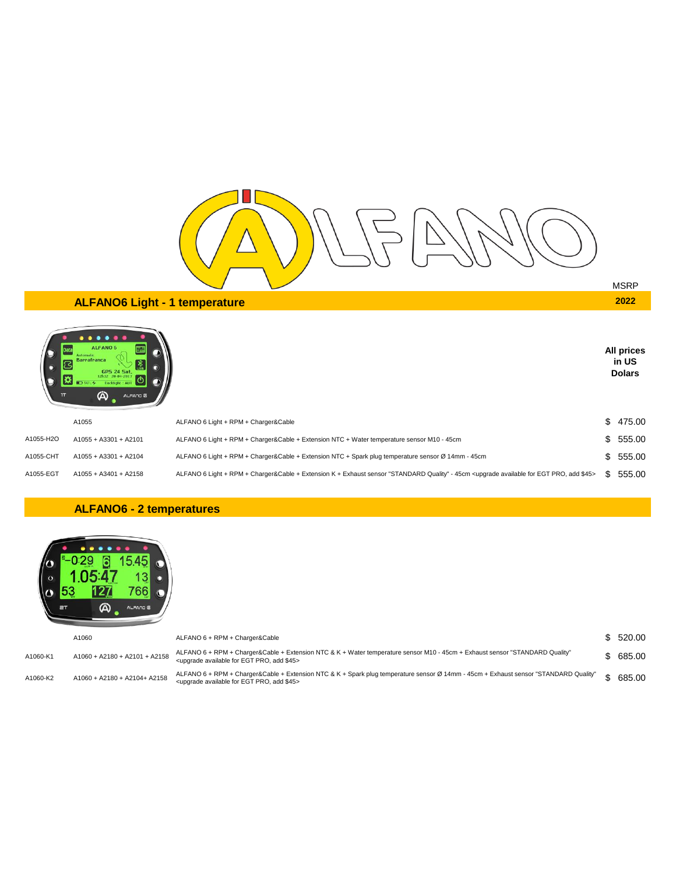

**All prices in US Dolars**

# **ALFANO6 Light - 1 temperature 2022**



|           | A1055                 | ALFANO 6 Light + RPM + Charger&Cable                                                                                                                                | \$475.00 |
|-----------|-----------------------|---------------------------------------------------------------------------------------------------------------------------------------------------------------------|----------|
| A1055-H2O | A1055 + A3301 + A2101 | ALFANO 6 Light + RPM + Charger&Cable + Extension NTC + Water temperature sensor M10 - 45cm                                                                          | \$555.00 |
| A1055-CHT | A1055 + A3301 + A2104 | ALFANO 6 Light + RPM + Charger&Cable + Extension NTC + Spark plug temperature sensor Ø 14mm - 45cm                                                                  | \$555.00 |
| A1055-EGT | A1055 + A3401 + A2158 | ALFANO 6 Light + RPM + Charger&Cable + Extension K + Exhaust sensor "STANDARD Quality" - 45cm <upgrade \$45="" add="" available="" egt="" for="" pro,=""></upgrade> | 555.00   |

#### **ALFANO6 - 2 temperatures**



|          | A1060                         | ALFANO 6 + RPM + Charger&Cable                                                                                                                                                                                | \$ 520.00 |
|----------|-------------------------------|---------------------------------------------------------------------------------------------------------------------------------------------------------------------------------------------------------------|-----------|
| A1060-K1 | A1060 + A2180 + A2101 + A2158 | ALFANO 6 + RPM + Charger&Cable + Extension NTC & K + Water temperature sensor M10 - 45cm + Exhaust sensor "STANDARD Quality"<br><upgrade \$45="" add="" available="" egt="" for="" pro,=""></upgrade>         | \$685.00  |
| A1060-K2 | A1060 + A2180 + A2104+ A2158  | ALFANO 6 + RPM + Charger&Cable + Extension NTC & K + Spark plug temperature sensor Ø 14mm - 45cm + Exhaust sensor "STANDARD Quality"<br><upgrade \$45="" add="" available="" egt="" for="" pro,=""></upgrade> | 685.00    |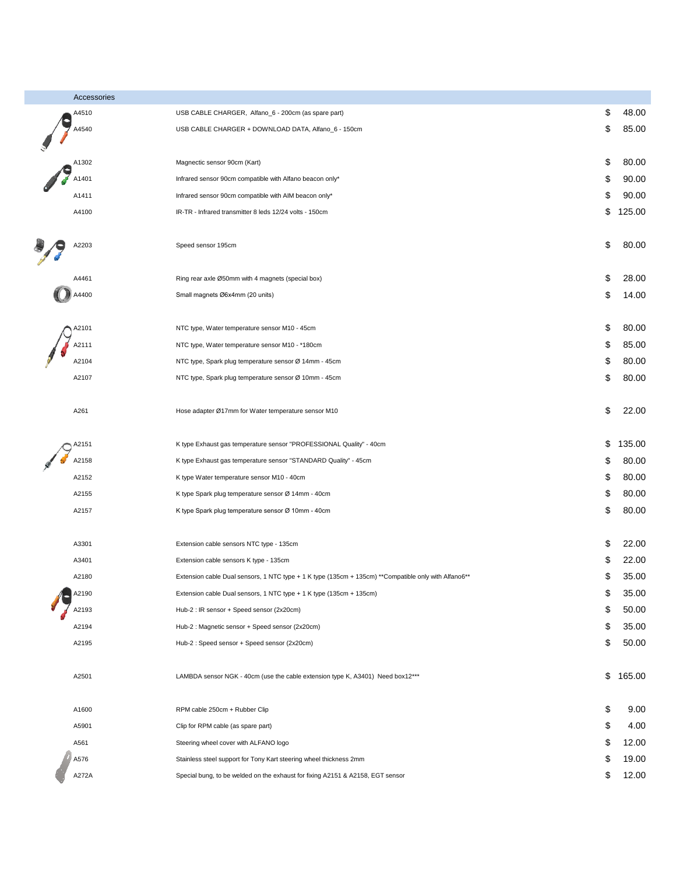| Accessories |                                                                                                      |              |
|-------------|------------------------------------------------------------------------------------------------------|--------------|
| A4510       | USB CABLE CHARGER, Alfano_6 - 200cm (as spare part)                                                  | \$<br>48.00  |
| A4540       | USB CABLE CHARGER + DOWNLOAD DATA, Alfano_6 - 150cm                                                  | \$<br>85.00  |
| A1302       | Magnectic sensor 90cm (Kart)                                                                         | \$<br>80.00  |
| A1401       | Infrared sensor 90cm compatible with Alfano beacon only*                                             | \$<br>90.00  |
| A1411       | Infrared sensor 90cm compatible with AIM beacon only*                                                | \$<br>90.00  |
| A4100       | IR-TR - Infrared transmitter 8 leds 12/24 volts - 150cm                                              | \$<br>125.00 |
|             |                                                                                                      |              |
| A2203       | Speed sensor 195cm                                                                                   | \$<br>80.00  |
| A4461       | Ring rear axle Ø50mm with 4 magnets (special box)                                                    | \$<br>28.00  |
| A4400       | Small magnets Ø6x4mm (20 units)                                                                      | \$<br>14.00  |
|             |                                                                                                      |              |
| A2101       | NTC type, Water temperature sensor M10 - 45cm                                                        | \$<br>80.00  |
| A2111       | NTC type, Water temperature sensor M10 - *180cm                                                      | \$<br>85.00  |
| A2104       | NTC type, Spark plug temperature sensor Ø 14mm - 45cm                                                | \$<br>80.00  |
| A2107       | NTC type, Spark plug temperature sensor Ø 10mm - 45cm                                                | \$<br>80.00  |
|             |                                                                                                      |              |
| A261        | Hose adapter Ø17mm for Water temperature sensor M10                                                  | \$<br>22.00  |
| A2151       | K type Exhaust gas temperature sensor "PROFESSIONAL Quality" - 40cm                                  | \$<br>135.00 |
| A2158       | K type Exhaust gas temperature sensor "STANDARD Quality" - 45cm                                      | \$<br>80.00  |
| A2152       | K type Water temperature sensor M10 - 40cm                                                           | \$<br>80.00  |
| A2155       | K type Spark plug temperature sensor Ø 14mm - 40cm                                                   | \$<br>80.00  |
| A2157       | K type Spark plug temperature sensor Ø 10mm - 40cm                                                   | \$<br>80.00  |
| A3301       | Extension cable sensors NTC type - 135cm                                                             | \$<br>22.00  |
| A3401       | Extension cable sensors K type - 135cm                                                               | \$<br>22.00  |
| A2180       | Extension cable Dual sensors, 1 NTC type + 1 K type (135cm + 135cm) **Compatible only with Alfano6** | \$<br>35.00  |
| A2190       | Extension cable Dual sensors, 1 NTC type + 1 K type (135cm + 135cm)                                  | \$<br>35.00  |
| A2193       | Hub-2 : IR sensor + Speed sensor (2x20cm)                                                            | \$<br>50.00  |
| A2194       | Hub-2 : Magnetic sensor + Speed sensor (2x20cm)                                                      | \$<br>35.00  |
| A2195       | Hub-2 : Speed sensor + Speed sensor (2x20cm)                                                         | \$<br>50.00  |
|             |                                                                                                      |              |
| A2501       | LAMBDA sensor NGK - 40cm (use the cable extension type K, A3401) Need box12***                       | \$<br>165.00 |
| A1600       | RPM cable 250cm + Rubber Clip                                                                        | \$<br>9.00   |
| A5901       | Clip for RPM cable (as spare part)                                                                   | \$<br>4.00   |
| A561        | Steering wheel cover with ALFANO logo                                                                | \$<br>12.00  |
| A576        | Stainless steel support for Tony Kart steering wheel thickness 2mm                                   | \$<br>19.00  |
| A272A       | Special bung, to be welded on the exhaust for fixing A2151 & A2158, EGT sensor                       | \$<br>12.00  |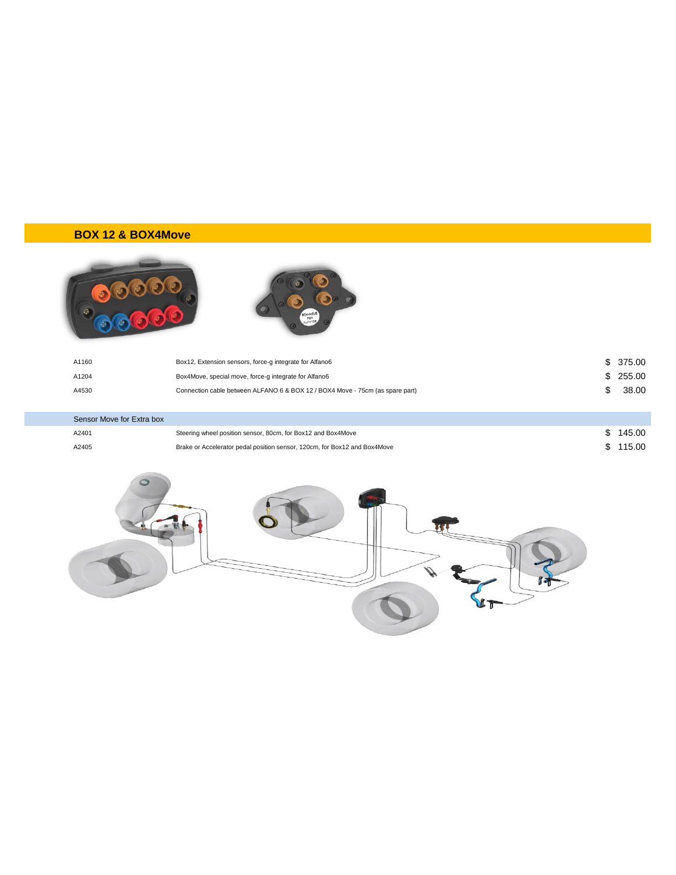## **BOX 12 & BOX4Move**





| A1160 | Box12, Extension sensors, force-g integrate for Alfano6                       | \$375.00 |
|-------|-------------------------------------------------------------------------------|----------|
| A1204 | Box4Move, special move, force-g integrate for Alfano6                         | \$255.00 |
| A4530 | Connection cable between ALFANO 6 & BOX 12 / BOX4 Move - 75cm (as spare part) | 38.00    |

| Sensor Move for Extra box |                                                                           |          |
|---------------------------|---------------------------------------------------------------------------|----------|
| A2401                     | Steering wheel position sensor, 80cm, for Box12 and Box4Move              | \$145.00 |
| A2405                     | Brake or Accelerator pedal position sensor, 120cm, for Box12 and Box4Move | \$115.00 |

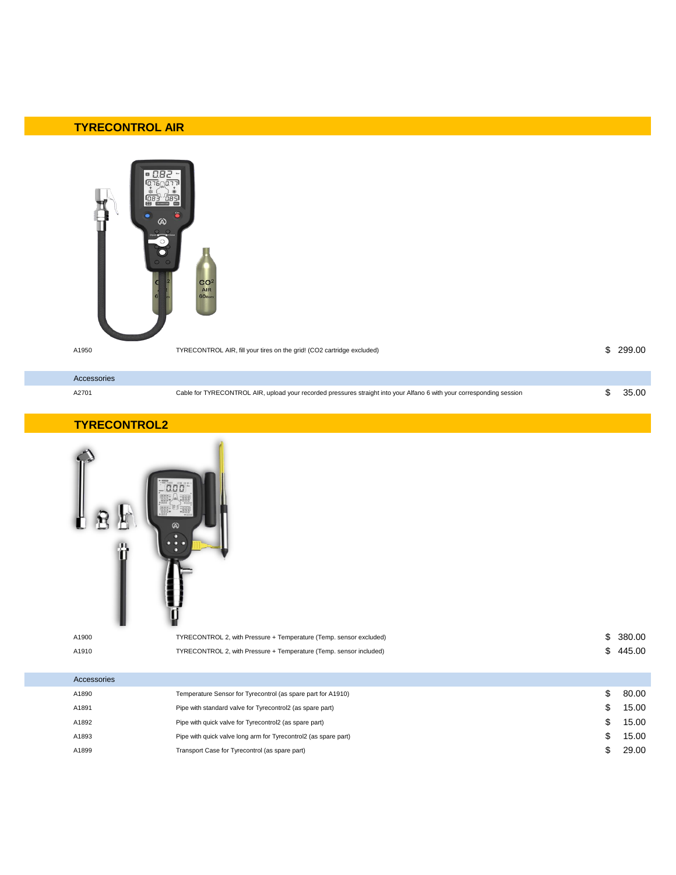### **TYRECONTROL AIR**



A1950 TYRECONTROL AIR, fill your tires on the grid! (CO2 cartridge excluded) \$ 299.00

| _____________ |                                                                                                                       |  |
|---------------|-----------------------------------------------------------------------------------------------------------------------|--|
|               |                                                                                                                       |  |
| A2701         | Cable for TYRECONTROL AIR, upload your recorded pressures straight into your Alfano 6 with your corresponding session |  |
| Accessories   |                                                                                                                       |  |
|               |                                                                                                                       |  |

#### **TYRECONTROL2**

| n<br>A1900<br>A1910 | ПF<br>$\omega$<br>n<br>$\bullet$<br>n<br>TYRECONTROL 2, with Pressure + Temperature (Temp. sensor excluded)<br>TYRECONTROL 2, with Pressure + Temperature (Temp. sensor included) | \$ 380.00<br>\$445.00 |
|---------------------|-----------------------------------------------------------------------------------------------------------------------------------------------------------------------------------|-----------------------|
| Accessories         |                                                                                                                                                                                   |                       |
| A1890               | Temperature Sensor for Tyrecontrol (as spare part for A1910)                                                                                                                      | \$<br>80.00           |

| A1890 | Temperature Sensor for Tyrecontrol (as spare part for A1910)    | 80.00 |
|-------|-----------------------------------------------------------------|-------|
| A1891 | Pipe with standard valve for Tyrecontrol2 (as spare part)       | 15.00 |
| A1892 | Pipe with quick valve for Tyrecontrol2 (as spare part)          | 15.00 |
| A1893 | Pipe with quick valve long arm for Tyrecontrol2 (as spare part) | 15.00 |
| A1899 | Transport Case for Tyrecontrol (as spare part)                  | 29.00 |